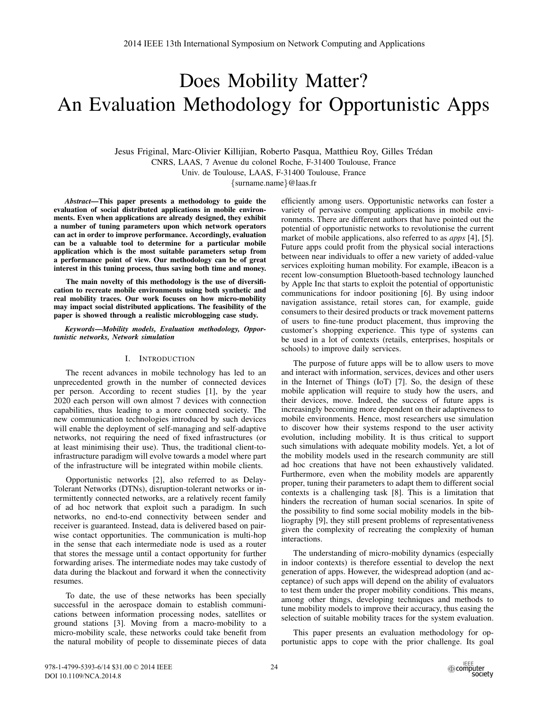# Does Mobility Matter? An Evaluation Methodology for Opportunistic Apps

Jesus Friginal, Marc-Olivier Killijian, Roberto Pasqua, Matthieu Roy, Gilles Tredan ´ CNRS, LAAS, 7 Avenue du colonel Roche, F-31400 Toulouse, France Univ. de Toulouse, LAAS, F-31400 Toulouse, France {surname.name}@laas.fr

*Abstract*—This paper presents a methodology to guide the evaluation of social distributed applications in mobile environments. Even when applications are already designed, they exhibit a number of tuning parameters upon which network operators can act in order to improve performance. Accordingly, evaluation can be a valuable tool to determine for a particular mobile application which is the most suitable parameters setup from a performance point of view. Our methodology can be of great interest in this tuning process, thus saving both time and money.

The main novelty of this methodology is the use of diversification to recreate mobile environments using both synthetic and real mobility traces. Our work focuses on how micro-mobility may impact social distributed applications. The feasibility of the paper is showed through a realistic microblogging case study.

# *Keywords*—*Mobility models, Evaluation methodology, Opportunistic networks, Network simulation*

# I. INTRODUCTION

The recent advances in mobile technology has led to an unprecedented growth in the number of connected devices per person. According to recent studies [1], by the year 2020 each person will own almost 7 devices with connection capabilities, thus leading to a more connected society. The new communication technologies introduced by such devices will enable the deployment of self-managing and self-adaptive networks, not requiring the need of fixed infrastructures (or at least minimising their use). Thus, the traditional client-toinfrastructure paradigm will evolve towards a model where part of the infrastructure will be integrated within mobile clients.

Opportunistic networks [2], also referred to as Delay-Tolerant Networks (DTNs), disruption-tolerant networks or intermittently connected networks, are a relatively recent family of ad hoc network that exploit such a paradigm. In such networks, no end-to-end connectivity between sender and receiver is guaranteed. Instead, data is delivered based on pairwise contact opportunities. The communication is multi-hop in the sense that each intermediate node is used as a router that stores the message until a contact opportunity for further forwarding arises. The intermediate nodes may take custody of data during the blackout and forward it when the connectivity resumes.

To date, the use of these networks has been specially successful in the aerospace domain to establish communications between information processing nodes, satellites or ground stations [3]. Moving from a macro-mobility to a micro-mobility scale, these networks could take benefit from the natural mobility of people to disseminate pieces of data efficiently among users. Opportunistic networks can foster a variety of pervasive computing applications in mobile environments. There are different authors that have pointed out the potential of opportunistic networks to revolutionise the current market of mobile applications, also referred to as *apps* [4], [5]. Future apps could profit from the physical social interactions between near individuals to offer a new variety of added-value services exploiting human mobility. For example, iBeacon is a recent low-consumption Bluetooth-based technology launched by Apple Inc that starts to exploit the potential of opportunistic communications for indoor positioning [6]. By using indoor navigation assistance, retail stores can, for example, guide consumers to their desired products or track movement patterns of users to fine-tune product placement, thus improving the customer's shopping experience. This type of systems can be used in a lot of contexts (retails, enterprises, hospitals or schools) to improve daily services.

The purpose of future apps will be to allow users to move and interact with information, services, devices and other users in the Internet of Things (IoT) [7]. So, the design of these mobile application will require to study how the users, and their devices, move. Indeed, the success of future apps is increasingly becoming more dependent on their adaptiveness to mobile environments. Hence, most researchers use simulation to discover how their systems respond to the user activity evolution, including mobility. It is thus critical to support such simulations with adequate mobility models. Yet, a lot of the mobility models used in the research community are still ad hoc creations that have not been exhaustively validated. Furthermore, even when the mobility models are apparently proper, tuning their parameters to adapt them to different social contexts is a challenging task [8]. This is a limitation that hinders the recreation of human social scenarios. In spite of the possibility to find some social mobility models in the bibliography [9], they still present problems of representativeness given the complexity of recreating the complexity of human interactions.

The understanding of micro-mobility dynamics (especially in indoor contexts) is therefore essential to develop the next generation of apps. However, the widespread adoption (and acceptance) of such apps will depend on the ability of evaluators to test them under the proper mobility conditions. This means, among other things, developing techniques and methods to tune mobility models to improve their accuracy, thus easing the selection of suitable mobility traces for the system evaluation.

This paper presents an evaluation methodology for opportunistic apps to cope with the prior challenge. Its goal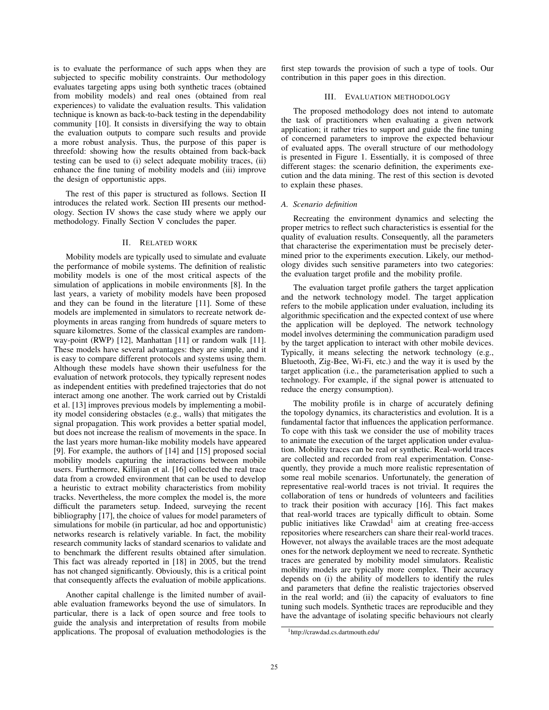is to evaluate the performance of such apps when they are subjected to specific mobility constraints. Our methodology evaluates targeting apps using both synthetic traces (obtained from mobility models) and real ones (obtained from real experiences) to validate the evaluation results. This validation technique is known as back-to-back testing in the dependability community [10]. It consists in diversifying the way to obtain the evaluation outputs to compare such results and provide a more robust analysis. Thus, the purpose of this paper is threefold: showing how the results obtained from back-back testing can be used to (i) select adequate mobility traces, (ii) enhance the fine tuning of mobility models and (iii) improve the design of opportunistic apps.

The rest of this paper is structured as follows. Section II introduces the related work. Section III presents our methodology. Section IV shows the case study where we apply our methodology. Finally Section V concludes the paper.

# II. RELATED WORK

Mobility models are typically used to simulate and evaluate the performance of mobile systems. The definition of realistic mobility models is one of the most critical aspects of the simulation of applications in mobile environments [8]. In the last years, a variety of mobility models have been proposed and they can be found in the literature [11]. Some of these models are implemented in simulators to recreate network deployments in areas ranging from hundreds of square meters to square kilometres. Some of the classical examples are randomway-point (RWP) [12], Manhattan [11] or random walk [11]. These models have several advantages: they are simple, and it is easy to compare different protocols and systems using them. Although these models have shown their usefulness for the evaluation of network protocols, they typically represent nodes as independent entities with predefined trajectories that do not interact among one another. The work carried out by Cristaldi et al. [13] improves previous models by implementing a mobility model considering obstacles (e.g., walls) that mitigates the signal propagation. This work provides a better spatial model, but does not increase the realism of movements in the space. In the last years more human-like mobility models have appeared [9]. For example, the authors of [14] and [15] proposed social mobility models capturing the interactions between mobile users. Furthermore, Killijian et al. [16] collected the real trace data from a crowded environment that can be used to develop a heuristic to extract mobility characteristics from mobility tracks. Nevertheless, the more complex the model is, the more difficult the parameters setup. Indeed, surveying the recent bibliography [17], the choice of values for model parameters of simulations for mobile (in particular, ad hoc and opportunistic) networks research is relatively variable. In fact, the mobility research community lacks of standard scenarios to validate and to benchmark the different results obtained after simulation. This fact was already reported in [18] in 2005, but the trend has not changed significantly. Obviously, this is a critical point that consequently affects the evaluation of mobile applications.

Another capital challenge is the limited number of available evaluation frameworks beyond the use of simulators. In particular, there is a lack of open source and free tools to guide the analysis and interpretation of results from mobile applications. The proposal of evaluation methodologies is the

first step towards the provision of such a type of tools. Our contribution in this paper goes in this direction.

# III. EVALUATION METHODOLOGY

The proposed methodology does not intend to automate the task of practitioners when evaluating a given network application; it rather tries to support and guide the fine tuning of concerned parameters to improve the expected behaviour of evaluated apps. The overall structure of our methodology is presented in Figure 1. Essentially, it is composed of three different stages: the scenario definition, the experiments execution and the data mining. The rest of this section is devoted to explain these phases.

#### *A. Scenario definition*

Recreating the environment dynamics and selecting the proper metrics to reflect such characteristics is essential for the quality of evaluation results. Consequently, all the parameters that characterise the experimentation must be precisely determined prior to the experiments execution. Likely, our methodology divides such sensitive parameters into two categories: the evaluation target profile and the mobility profile.

The evaluation target profile gathers the target application and the network technology model. The target application refers to the mobile application under evaluation, including its algorithmic specification and the expected context of use where the application will be deployed. The network technology model involves determining the communication paradigm used by the target application to interact with other mobile devices. Typically, it means selecting the network technology (e.g., Bluetooth, Zig-Bee, Wi-Fi, etc.) and the way it is used by the target application (i.e., the parameterisation applied to such a technology. For example, if the signal power is attenuated to reduce the energy consumption).

The mobility profile is in charge of accurately defining the topology dynamics, its characteristics and evolution. It is a fundamental factor that influences the application performance. To cope with this task we consider the use of mobility traces to animate the execution of the target application under evaluation. Mobility traces can be real or synthetic. Real-world traces are collected and recorded from real experimentation. Consequently, they provide a much more realistic representation of some real mobile scenarios. Unfortunately, the generation of representative real-world traces is not trivial. It requires the collaboration of tens or hundreds of volunteers and facilities to track their position with accuracy [16]. This fact makes that real-world traces are typically difficult to obtain. Some public initiatives like Crawdad<sup>1</sup> aim at creating free-access repositories where researchers can share their real-world traces. However, not always the available traces are the most adequate ones for the network deployment we need to recreate. Synthetic traces are generated by mobility model simulators. Realistic mobility models are typically more complex. Their accuracy depends on (i) the ability of modellers to identify the rules and parameters that define the realistic trajectories observed in the real world; and (ii) the capacity of evaluators to fine tuning such models. Synthetic traces are reproducible and they have the advantage of isolating specific behaviours not clearly

<sup>1</sup>http://crawdad.cs.dartmouth.edu/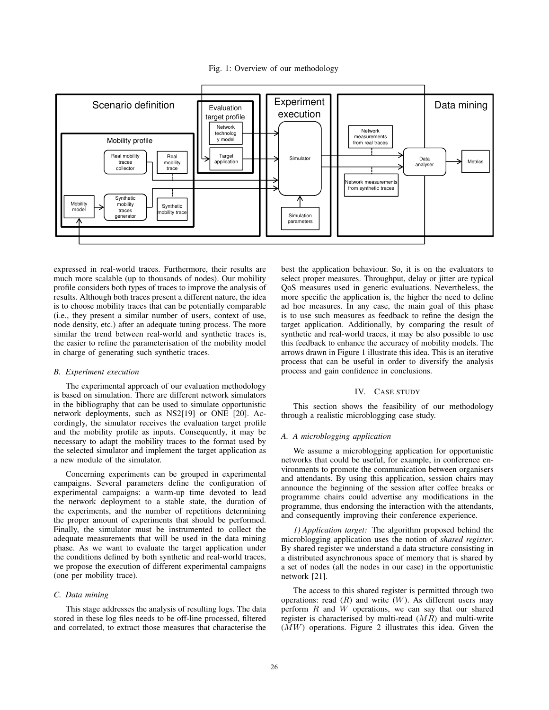



expressed in real-world traces. Furthermore, their results are much more scalable (up to thousands of nodes). Our mobility profile considers both types of traces to improve the analysis of results. Although both traces present a different nature, the idea is to choose mobility traces that can be potentially comparable (i.e., they present a similar number of users, context of use, node density, etc.) after an adequate tuning process. The more similar the trend between real-world and synthetic traces is, the easier to refine the parameterisation of the mobility model in charge of generating such synthetic traces.

# *B. Experiment execution*

The experimental approach of our evaluation methodology is based on simulation. There are different network simulators in the bibliography that can be used to simulate opportunistic network deployments, such as NS2[19] or ONE [20]. Accordingly, the simulator receives the evaluation target profile and the mobility profile as inputs. Consequently, it may be necessary to adapt the mobility traces to the format used by the selected simulator and implement the target application as a new module of the simulator.

Concerning experiments can be grouped in experimental campaigns. Several parameters define the configuration of experimental campaigns: a warm-up time devoted to lead the network deployment to a stable state, the duration of the experiments, and the number of repetitions determining the proper amount of experiments that should be performed. Finally, the simulator must be instrumented to collect the adequate measurements that will be used in the data mining phase. As we want to evaluate the target application under the conditions defined by both synthetic and real-world traces, we propose the execution of different experimental campaigns (one per mobility trace).

# *C. Data mining*

This stage addresses the analysis of resulting logs. The data stored in these log files needs to be off-line processed, filtered and correlated, to extract those measures that characterise the best the application behaviour. So, it is on the evaluators to select proper measures. Throughput, delay or jitter are typical QoS measures used in generic evaluations. Nevertheless, the more specific the application is, the higher the need to define ad hoc measures. In any case, the main goal of this phase is to use such measures as feedback to refine the design the target application. Additionally, by comparing the result of synthetic and real-world traces, it may be also possible to use this feedback to enhance the accuracy of mobility models. The arrows drawn in Figure 1 illustrate this idea. This is an iterative process that can be useful in order to diversify the analysis process and gain confidence in conclusions.

# IV. CASE STUDY

This section shows the feasibility of our methodology through a realistic microblogging case study.

# *A. A microblogging application*

We assume a microblogging application for opportunistic networks that could be useful, for example, in conference environments to promote the communication between organisers and attendants. By using this application, session chairs may announce the beginning of the session after coffee breaks or programme chairs could advertise any modifications in the programme, thus endorsing the interaction with the attendants, and consequently improving their conference experience.

*1) Application target:* The algorithm proposed behind the microblogging application uses the notion of *shared register*. By shared register we understand a data structure consisting in a distributed asynchronous space of memory that is shared by a set of nodes (all the nodes in our case) in the opportunistic network [21].

The access to this shared register is permitted through two operations: read  $(R)$  and write  $(W)$ . As different users may perform R and W operations, we can say that our shared register is characterised by multi-read  $(MR)$  and multi-write  $(MW)$  operations. Figure 2 illustrates this idea. Given the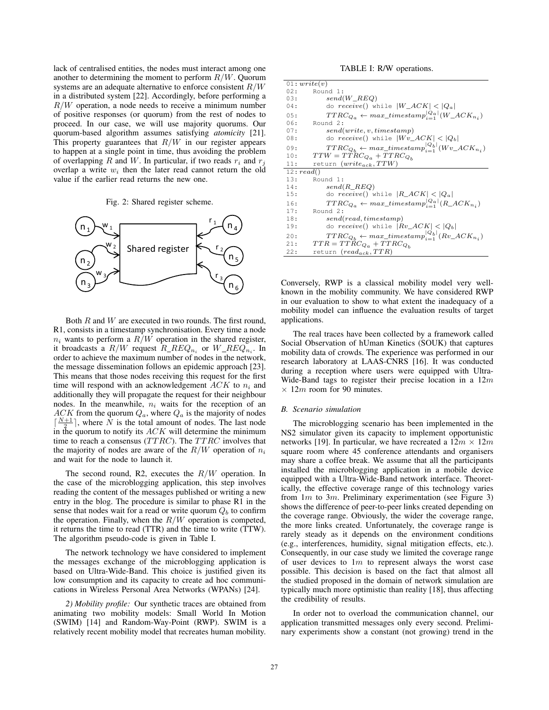lack of centralised entities, the nodes must interact among one another to determining the moment to perform  $R/W$ . Quorum systems are an adequate alternative to enforce consistent  $R/W$ in a distributed system [22]. Accordingly, before performing a  $R/W$  operation, a node needs to receive a minimum number of positive responses (or quorum) from the rest of nodes to proceed. In our case, we will use majority quorums. Our quorum-based algorithm assumes satisfying *atomicity* [21]. This property guarantees that  $R/W$  in our register appears to happen at a single point in time, thus avoiding the problem of overlapping R and W. In particular, if two reads  $r_i$  and  $r_j$ overlap a write  $w_i$  then the later read cannot return the old value if the earlier read returns the new one.

Fig. 2: Shared register scheme.



Both  $R$  and  $W$  are executed in two rounds. The first round, R1, consists in a timestamp synchronisation. Every time a node  $n_i$  wants to perform a  $R/W$  operation in the shared register, it broadcasts a  $R/W$  request  $R\_REQ_{n_i}$  or  $W\_REQ_{n_i}$ . In order to achieve the maximum number of nodes in the network, the message dissemination follows an epidemic approach [23]. This means that those nodes receiving this request for the first time will respond with an acknowledgement  $ACK$  to  $n_i$  and additionally they will propagate the request for their neighbour nodes. In the meanwhile,  $n_i$  waits for the reception of an  $ACK$  from the quorum  $Q_a$ , where  $Q_a$  is the majority of nodes  $\lceil \frac{N+1}{2} \rceil$ , where N is the total amount of nodes. The last node in the quorum to notify its  $ACK$  will determine the minimum time to reach a consensus  $(TTRC)$ . The  $TTRC$  involves that the majority of nodes are aware of the  $R/W$  operation of  $n_i$ and wait for the node to launch it.

The second round, R2, executes the  $R/W$  operation. In the case of the microblogging application, this step involves reading the content of the messages published or writing a new entry in the blog. The procedure is similar to phase R1 in the sense that nodes wait for a read or write quorum  $Q<sub>b</sub>$  to confirm the operation. Finally, when the  $R/W$  operation is competed, it returns the time to read (TTR) and the time to write (TTW). The algorithm pseudo-code is given in Table I.

The network technology we have considered to implement the messages exchange of the microblogging application is based on Ultra-Wide-Band. This choice is justified given its low consumption and its capacity to create ad hoc communications in Wireless Personal Area Networks (WPANs) [24].

*2) Mobility profile:* Our synthetic traces are obtained from animating two mobility models: Small World In Motion (SWIM) [14] and Random-Way-Point (RWP). SWIM is a relatively recent mobility model that recreates human mobility.

TABLE I: R/W operations.

| 01: write(v)                                                               |  |  |  |
|----------------------------------------------------------------------------|--|--|--|
| 02:<br>Round 1:                                                            |  |  |  |
| $send(W\_REQ)$<br>03:                                                      |  |  |  |
| do $receive()$ while $ W\_ACK  <  Q_a $<br>04:                             |  |  |  |
| $TTRC_{Qa} \leftarrow max\_timestamp_{i-1}^{ Qa }(W\_ACK_{n_i})$<br>05:    |  |  |  |
| 06:<br>Round 2:                                                            |  |  |  |
| send(write, v, timestamp)<br>07:                                           |  |  |  |
| do $receive()$ while $ Wv\_ACK  <  Q_b $<br>08:                            |  |  |  |
| $TTRC_{Q_h} \leftarrow max\_timestamp_{i=1}^{ Q_b }(Wv\_ACK_{n_i})$<br>09: |  |  |  |
| $TTW = TTRC_{Q_a} + TTRC_{Q_b}$<br>10:                                     |  |  |  |
| return $(write_{ack},TTW)$<br>11:                                          |  |  |  |
| 12: read()                                                                 |  |  |  |
| 13:<br>Round 1:                                                            |  |  |  |
| $send(R\_REQ)$<br>14:                                                      |  |  |  |
| do $receive()$ while $ R\_ACK  <  Q_a $<br>15:                             |  |  |  |
| $TTRC_{Qa} \leftarrow max\_timestamp_{i-1}^{ Qa }(R\_ACK_{n_i})$<br>16:    |  |  |  |
| 17:<br>Round 2:                                                            |  |  |  |
| send(read, timestamp)<br>18:                                               |  |  |  |
| do $receive()$ while $ Rv\_ACK  <  Q_b $<br>19:                            |  |  |  |
| $TTRC_{Q_b} \leftarrow max\_timestamp_{i=1}^{ Q_b }(Rv\_ACK_{n_i})$<br>20: |  |  |  |
| $TTR = TTRC_{Q_a} + TTRC_{Q_b}$<br>21:                                     |  |  |  |
| return $(read_{ack}, TTR)$<br>22:                                          |  |  |  |

Conversely, RWP is a classical mobility model very wellknown in the mobility community. We have considered RWP in our evaluation to show to what extent the inadequacy of a mobility model can influence the evaluation results of target applications.

The real traces have been collected by a framework called Social Observation of hUman Kinetics (SOUK) that captures mobility data of crowds. The experience was performed in our research laboratory at LAAS-CNRS [16]. It was conducted during a reception where users were equipped with Ultra-Wide-Band tags to register their precise location in a  $12m$  $\times$  12m room for 90 minutes.

# *B. Scenario simulation*

The microblogging scenario has been implemented in the NS2 simulator given its capacity to implement opportunistic networks [19]. In particular, we have recreated a  $12m \times 12m$ square room where 45 conference attendants and organisers may share a coffee break. We assume that all the participants installed the microblogging application in a mobile device equipped with a Ultra-Wide-Band network interface. Theoretically, the effective coverage range of this technology varies from  $1m$  to  $3m$ . Preliminary experimentation (see Figure 3) shows the difference of peer-to-peer links created depending on the coverage range. Obviously, the wider the coverage range, the more links created. Unfortunately, the coverage range is rarely steady as it depends on the environment conditions (e.g., interferences, humidity, signal mitigation effects, etc.). Consequently, in our case study we limited the coverage range of user devices to  $1m$  to represent always the worst case possible. This decision is based on the fact that almost all the studied proposed in the domain of network simulation are typically much more optimistic than reality [18], thus affecting the credibility of results.

In order not to overload the communication channel, our application transmitted messages only every second. Preliminary experiments show a constant (not growing) trend in the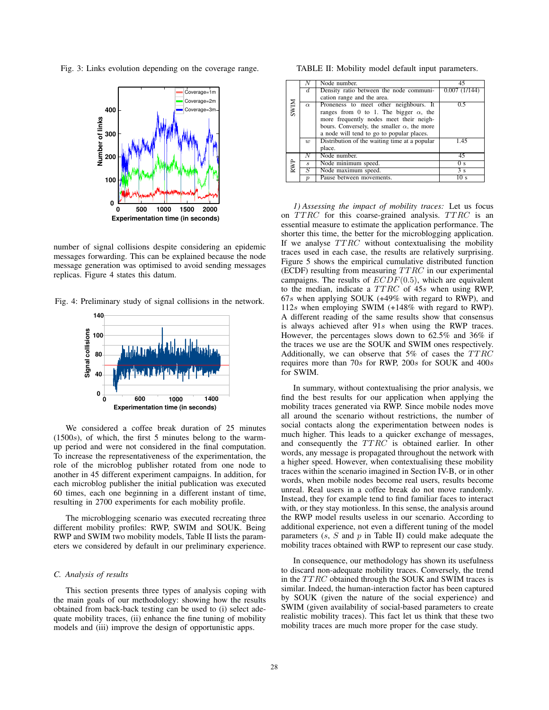Fig. 3: Links evolution depending on the coverage range.



number of signal collisions despite considering an epidemic messages forwarding. This can be explained because the node message generation was optimised to avoid sending messages replicas. Figure 4 states this datum.

Fig. 4: Preliminary study of signal collisions in the network.



We considered a coffee break duration of 25 minutes  $(1500s)$ , of which, the first 5 minutes belong to the warmup period and were not considered in the final computation. To increase the representativeness of the experimentation, the role of the microblog publisher rotated from one node to another in 45 different experiment campaigns. In addition, for each microblog publisher the initial publication was executed 60 times, each one beginning in a different instant of time, resulting in 2700 experiments for each mobility profile.

The microblogging scenario was executed recreating three different mobility profiles: RWP, SWIM and SOUK. Being RWP and SWIM two mobility models, Table II lists the parameters we considered by default in our preliminary experience.

#### *C. Analysis of results*

This section presents three types of analysis coping with the main goals of our methodology: showing how the results obtained from back-back testing can be used to (i) select adequate mobility traces, (ii) enhance the fine tuning of mobility models and (iii) improve the design of opportunistic apps.

TABLE II: Mobility model default input parameters.

| <b>NIMS</b> |                     | Node number.                                       | 45              |
|-------------|---------------------|----------------------------------------------------|-----------------|
|             | d                   | Density ratio between the node communi-            | 0.007(1/144)    |
|             |                     | cation range and the area.                         |                 |
|             | $\alpha$            | Proneness to meet other neighbours. It             | 0.5             |
|             |                     | ranges from 0 to 1. The bigger $\alpha$ , the      |                 |
|             |                     | more frequently nodes meet their neigh-            |                 |
|             |                     | bours. Conversely, the smaller $\alpha$ , the more |                 |
|             |                     | a node will tend to go to popular places.          |                 |
|             | w                   | Distribution of the waiting time at a popular      | 145             |
|             |                     | place.                                             |                 |
| RWP         |                     | Node number.                                       | 45              |
|             | $\boldsymbol{s}$    | Node minimum speed.                                | 0 <sub>s</sub>  |
|             | S                   | Node maximum speed.                                | 3s              |
|             | $\boldsymbol{\eta}$ | Pause between movements.                           | 10 <sub>s</sub> |

*1) Assessing the impact of mobility traces:* Let us focus on  $TTRC$  for this coarse-grained analysis.  $TTRC$  is an essential measure to estimate the application performance. The shorter this time, the better for the microblogging application. If we analyse  $TTRC$  without contextualising the mobility traces used in each case, the results are relatively surprising. Figure 5 shows the empirical cumulative distributed function (ECDF) resulting from measuring  $TTRC$  in our experimental campaigns. The results of  $ECDF(0.5)$ , which are equivalent to the median, indicate a  $TTRC$  of  $45s$  when using RWP, 67s when applying SOUK (+49% with regard to RWP), and 112s when employing SWIM (+148% with regard to RWP). A different reading of the same results show that consensus is always achieved after 91s when using the RWP traces. However, the percentages slows down to 62.5% and 36% if the traces we use are the SOUK and SWIM ones respectively. Additionally, we can observe that  $5\%$  of cases the  $TTRC$ requires more than 70s for RWP, 200s for SOUK and 400s for SWIM.

In summary, without contextualising the prior analysis, we find the best results for our application when applying the mobility traces generated via RWP. Since mobile nodes move all around the scenario without restrictions, the number of social contacts along the experimentation between nodes is much higher. This leads to a quicker exchange of messages, and consequently the  $TTRC$  is obtained earlier. In other words, any message is propagated throughout the network with a higher speed. However, when contextualising these mobility traces within the scenario imagined in Section IV-B, or in other words, when mobile nodes become real users, results become unreal. Real users in a coffee break do not move randomly. Instead, they for example tend to find familiar faces to interact with, or they stay motionless. In this sense, the analysis around the RWP model results useless in our scenario. According to additional experience, not even a different tuning of the model parameters  $(s, S$  and  $p$  in Table II) could make adequate the mobility traces obtained with RWP to represent our case study.

In consequence, our methodology has shown its usefulness to discard non-adequate mobility traces. Conversely, the trend in the  $TTRC$  obtained through the SOUK and SWIM traces is similar. Indeed, the human-interaction factor has been captured by SOUK (given the nature of the social experience) and SWIM (given availability of social-based parameters to create realistic mobility traces). This fact let us think that these two mobility traces are much more proper for the case study.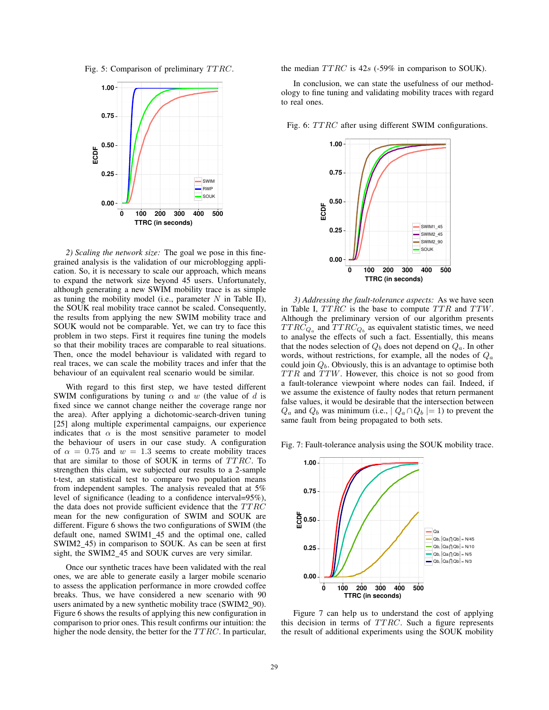Fig. 5: Comparison of preliminary  $TTRC$ .



*2) Scaling the network size:* The goal we pose in this finegrained analysis is the validation of our microblogging application. So, it is necessary to scale our approach, which means to expand the network size beyond 45 users. Unfortunately, although generating a new SWIM mobility trace is as simple as tuning the mobility model (i.e., parameter  $N$  in Table II), the SOUK real mobility trace cannot be scaled. Consequently, the results from applying the new SWIM mobility trace and SOUK would not be comparable. Yet, we can try to face this problem in two steps. First it requires fine tuning the models so that their mobility traces are comparable to real situations. Then, once the model behaviour is validated with regard to real traces, we can scale the mobility traces and infer that the behaviour of an equivalent real scenario would be similar.

With regard to this first step, we have tested different SWIM configurations by tuning  $\alpha$  and w (the value of d is fixed since we cannot change neither the coverage range nor the area). After applying a dichotomic-search-driven tuning [25] along multiple experimental campaigns, our experience indicates that  $\alpha$  is the most sensitive parameter to model the behaviour of users in our case study. A configuration of  $\alpha = 0.75$  and  $w = 1.3$  seems to create mobility traces that are similar to those of SOUK in terms of  $TTRC$ . To strengthen this claim, we subjected our results to a 2-sample t-test, an statistical test to compare two population means from independent samples. The analysis revealed that at 5% level of significance (leading to a confidence interval=95%), the data does not provide sufficient evidence that the  $TTRC$ mean for the new configuration of SWIM and SOUK are different. Figure 6 shows the two configurations of SWIM (the default one, named SWIM1\_45 and the optimal one, called SWIM2 45) in comparison to SOUK. As can be seen at first sight, the SWIM2 45 and SOUK curves are very similar.

Once our synthetic traces have been validated with the real ones, we are able to generate easily a larger mobile scenario to assess the application performance in more crowded coffee breaks. Thus, we have considered a new scenario with 90 users animated by a new synthetic mobility trace (SWIM2\_90). Figure 6 shows the results of applying this new configuration in comparison to prior ones. This result confirms our intuition: the higher the node density, the better for the  $TTRC$ . In particular, the median  $TTRC$  is 42s (-59% in comparison to SOUK).

In conclusion, we can state the usefulness of our methodology to fine tuning and validating mobility traces with regard to real ones.

Fig. 6: TTRC after using different SWIM configurations.



*3) Addressing the fault-tolerance aspects:* As we have seen in Table I,  $TTRC$  is the base to compute  $TTR$  and  $TTW$ . Although the preliminary version of our algorithm presents  $TTRC_{Q_a}$  and  $TTRC_{Q_b}$  as equivalent statistic times, we need to analyse the effects of such a fact. Essentially, this means that the nodes selection of  $Q_b$  does not depend on  $Q_a$ . In other words, without restrictions, for example, all the nodes of  $Q_a$ could join  $Q_b$ . Obviously, this is an advantage to optimise both TTR and TTW. However, this choice is not so good from a fault-tolerance viewpoint where nodes can fail. Indeed, if we assume the existence of faulty nodes that return permanent false values, it would be desirable that the intersection between  $Q_a$  and  $Q_b$  was minimum (i.e.,  $|Q_a \cap Q_b| = 1$ ) to prevent the same fault from being propagated to both sets.

Fig. 7: Fault-tolerance analysis using the SOUK mobility trace.



Figure 7 can help us to understand the cost of applying this decision in terms of  $TTRC$ . Such a figure represents the result of additional experiments using the SOUK mobility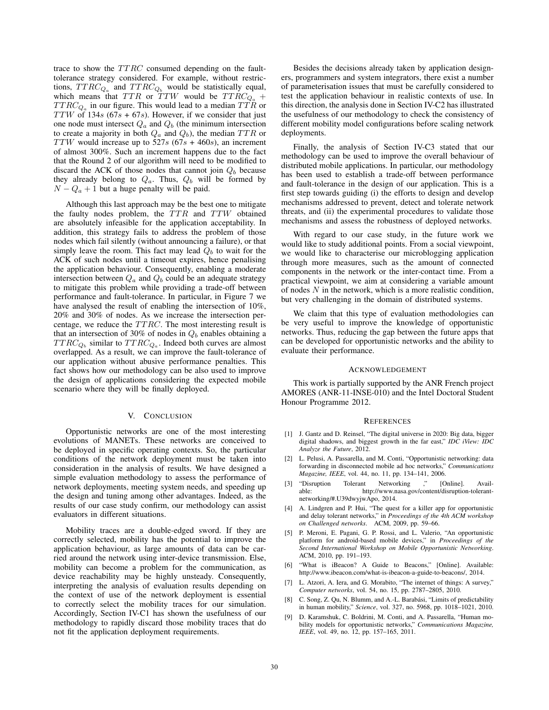trace to show the  $TTRC$  consumed depending on the faulttolerance strategy considered. For example, without restrictions,  $TTRC_{Q_a}$  and  $TTRC_{Q_b}$  would be statistically equal, which means that TTR or  $TTW$  would be  $TTRCQ_a +$  $TTRC_{Q_a}$  in our figure. This would lead to a median  $TTR$  or TTW of 134s ( $67s + 67s$ ). However, if we consider that just one node must intersect  $Q_a$  and  $Q_b$  (the minimum intersection to create a majority in both  $Q_a$  and  $Q_b$ ), the median  $TTR$  or TTW would increase up to  $527s$  ( $67s + 460s$ ), an increment of almost 300%. Such an increment happens due to the fact that the Round 2 of our algorithm will need to be modified to discard the ACK of those nodes that cannot join  $Q_b$  because they already belong to  $Q_a$ . Thus,  $Q_b$  will be formed by  $N - Q_a + 1$  but a huge penalty will be paid.

Although this last approach may be the best one to mitigate the faulty nodes problem, the TTR and TTW obtained are absolutely infeasible for the application acceptability. In addition, this strategy fails to address the problem of those nodes which fail silently (without announcing a failure), or that simply leave the room. This fact may lead  $Q_b$  to wait for the ACK of such nodes until a timeout expires, hence penalising the application behaviour. Consequently, enabling a moderate intersection between  $Q_a$  and  $Q_b$  could be an adequate strategy to mitigate this problem while providing a trade-off between performance and fault-tolerance. In particular, in Figure 7 we have analysed the result of enabling the intersection of 10%, 20% and 30% of nodes. As we increase the intersection percentage, we reduce the  $TTRC$ . The most interesting result is that an intersection of 30% of nodes in  $Q<sub>b</sub>$  enables obtaining a  $TTRC_{Q_b}$  similar to  $TTRC_{Q_a}$  . Indeed both curves are almost overlapped. As a result, we can improve the fault-tolerance of our application without abusive performance penalties. This fact shows how our methodology can be also used to improve the design of applications considering the expected mobile scenario where they will be finally deployed.

#### V. CONCLUSION

Opportunistic networks are one of the most interesting evolutions of MANETs. These networks are conceived to be deployed in specific operating contexts. So, the particular conditions of the network deployment must be taken into consideration in the analysis of results. We have designed a simple evaluation methodology to assess the performance of network deployments, meeting system needs, and speeding up the design and tuning among other advantages. Indeed, as the results of our case study confirm, our methodology can assist evaluators in different situations.

Mobility traces are a double-edged sword. If they are correctly selected, mobility has the potential to improve the application behaviour, as large amounts of data can be carried around the network using inter-device transmission. Else, mobility can become a problem for the communication, as device reachability may be highly unsteady. Consequently, interpreting the analysis of evaluation results depending on the context of use of the network deployment is essential to correctly select the mobility traces for our simulation. Accordingly, Section IV-C1 has shown the usefulness of our methodology to rapidly discard those mobility traces that do not fit the application deployment requirements.

Besides the decisions already taken by application designers, programmers and system integrators, there exist a number of parameterisation issues that must be carefully considered to test the application behaviour in realistic contexts of use. In this direction, the analysis done in Section IV-C2 has illustrated the usefulness of our methodology to check the consistency of different mobility model configurations before scaling network deployments.

Finally, the analysis of Section IV-C3 stated that our methodology can be used to improve the overall behaviour of distributed mobile applications. In particular, our methodology has been used to establish a trade-off between performance and fault-tolerance in the design of our application. This is a first step towards guiding (i) the efforts to design and develop mechanisms addressed to prevent, detect and tolerate network threats, and (ii) the experimental procedures to validate those mechanisms and assess the robustness of deployed networks.

With regard to our case study, in the future work we would like to study additional points. From a social viewpoint, we would like to characterise our microblogging application through more measures, such as the amount of connected components in the network or the inter-contact time. From a practical viewpoint, we aim at considering a variable amount of nodes  $N$  in the network, which is a more realistic condition, but very challenging in the domain of distributed systems.

We claim that this type of evaluation methodologies can be very useful to improve the knowledge of opportunistic networks. Thus, reducing the gap between the future apps that can be developed for opportunistic networks and the ability to evaluate their performance.

#### ACKNOWLEDGEMENT

This work is partially supported by the ANR French project AMORES (ANR-11-INSE-010) and the Intel Doctoral Student Honour Programme 2012.

#### **REFERENCES**

- [1] J. Gantz and D. Reinsel, "The digital universe in 2020: Big data, bigger digital shadows, and biggest growth in the far east," *IDC iView: IDC Analyze the Future*, 2012.
- [2] L. Pelusi, A. Passarella, and M. Conti, "Opportunistic networking: data forwarding in disconnected mobile ad hoc networks," *Communications Magazine, IEEE*, vol. 44, no. 11, pp. 134–141, 2006.
- [3] "Disruption Tolerant Networking ," [Online]. Available: http://www.nasa.gov/content/disruption-tolerantnetworking/#.U39dwyjwApo, 2014.
- [4] A. Lindgren and P. Hui, "The quest for a killer app for opportunistic and delay tolerant networks," in *Proceedings of the 4th ACM workshop on Challenged networks*. ACM, 2009, pp. 59–66.
- [5] P. Meroni, E. Pagani, G. P. Rossi, and L. Valerio, "An opportunistic platform for android-based mobile devices," in *Proceedings of the Second International Workshop on Mobile Opportunistic Networking*. ACM, 2010, pp. 191–193.
- "What is iBeacon? A Guide to Beacons," [Online]. Available: http://www.ibeacon.com/what-is-ibeacon-a-guide-to-beacons/, 2014.
- [7] L. Atzori, A. Iera, and G. Morabito, "The internet of things: A survey," *Computer networks*, vol. 54, no. 15, pp. 2787–2805, 2010.
- [8] C. Song, Z. Qu, N. Blumm, and A.-L. Barabási, "Limits of predictability in human mobility," *Science*, vol. 327, no. 5968, pp. 1018–1021, 2010.
- [9] D. Karamshuk, C. Boldrini, M. Conti, and A. Passarella, "Human mobility models for opportunistic networks," *Communications Magazine, IEEE*, vol. 49, no. 12, pp. 157–165, 2011.